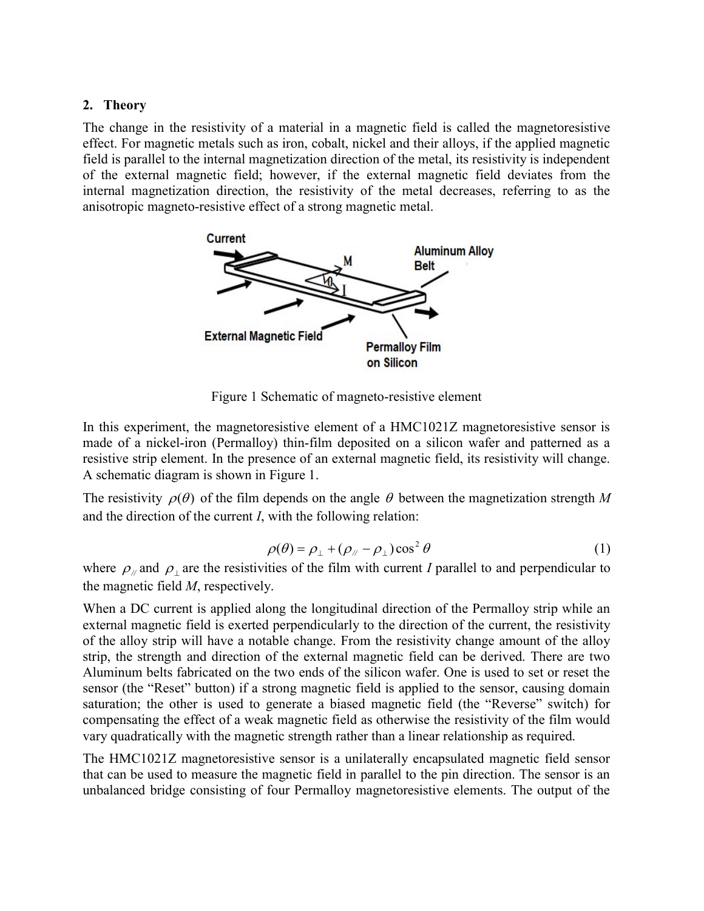## 2. Theory

The change in the resistivity of a material in a magnetic field is called the magnetoresistive effect. For magnetic metals such as iron, cobalt, nickel and their alloys, if the applied magnetic field is parallel to the internal magnetization direction of the metal, its resistivity is independent of the external magnetic field; however, if the external magnetic field deviates from the internal magnetization direction, the resistivity of the metal decreases, referring to as the anisotropic magneto-resistive effect of a strong magnetic metal.



Figure 1 Schematic of magneto-resistive element

In this experiment, the magnetoresistive element of a HMC1021Z magnetoresistive sensor is made of a nickel-iron (Permalloy) thin-film deposited on a silicon wafer and patterned as a resistive strip element. In the presence of an external magnetic field, its resistivity will change. A schematic diagram is shown in Figure 1.

The resistivity  $\rho(\theta)$  of the film depends on the angle  $\theta$  between the magnetization strength M and the direction of the current I, with the following relation:

$$
\rho(\theta) = \rho_{\perp} + (\rho_{\text{N}} - \rho_{\perp}) \cos^2 \theta \tag{1}
$$

where  $\rho_{\text{M}}$  and  $\rho_{\text{L}}$  are the resistivities of the film with current I parallel to and perpendicular to the magnetic field M, respectively.

When a DC current is applied along the longitudinal direction of the Permalloy strip while an external magnetic field is exerted perpendicularly to the direction of the current, the resistivity of the alloy strip will have a notable change. From the resistivity change amount of the alloy strip, the strength and direction of the external magnetic field can be derived. There are two Aluminum belts fabricated on the two ends of the silicon wafer. One is used to set or reset the sensor (the "Reset" button) if a strong magnetic field is applied to the sensor, causing domain saturation; the other is used to generate a biased magnetic field (the "Reverse" switch) for compensating the effect of a weak magnetic field as otherwise the resistivity of the film would vary quadratically with the magnetic strength rather than a linear relationship as required.

The HMC1021Z magnetoresistive sensor is a unilaterally encapsulated magnetic field sensor that can be used to measure the magnetic field in parallel to the pin direction. The sensor is an unbalanced bridge consisting of four Permalloy magnetoresistive elements. The output of the